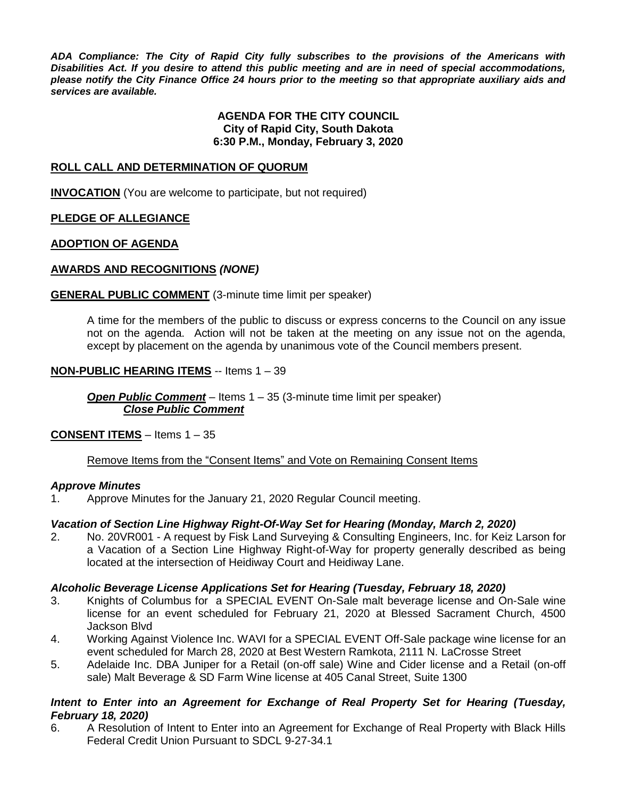*ADA Compliance: The City of Rapid City fully subscribes to the provisions of the Americans with Disabilities Act. If you desire to attend this public meeting and are in need of special accommodations, please notify the City Finance Office 24 hours prior to the meeting so that appropriate auxiliary aids and services are available.*

#### **AGENDA FOR THE CITY COUNCIL City of Rapid City, South Dakota 6:30 P.M., Monday, February 3, 2020**

#### **ROLL CALL AND DETERMINATION OF QUORUM**

**INVOCATION** (You are welcome to participate, but not required)

#### **PLEDGE OF ALLEGIANCE**

#### **ADOPTION OF AGENDA**

#### **AWARDS AND RECOGNITIONS** *(NONE)*

#### **GENERAL PUBLIC COMMENT** (3-minute time limit per speaker)

A time for the members of the public to discuss or express concerns to the Council on any issue not on the agenda. Action will not be taken at the meeting on any issue not on the agenda, except by placement on the agenda by unanimous vote of the Council members present.

#### **NON-PUBLIC HEARING ITEMS** -- Items 1 – 39

*Open Public Comment* – Items 1 – 35 (3-minute time limit per speaker) *Close Public Comment*

#### **CONSENT ITEMS** – Items 1 – 35

#### Remove Items from the "Consent Items" and Vote on Remaining Consent Items

#### *Approve Minutes*

1. Approve Minutes for the January 21, 2020 Regular Council meeting.

#### *Vacation of Section Line Highway Right-Of-Way Set for Hearing (Monday, March 2, 2020)*

2. No. 20VR001 - A request by Fisk Land Surveying & Consulting Engineers, Inc. for Keiz Larson for a Vacation of a Section Line Highway Right-of-Way for property generally described as being located at the intersection of Heidiway Court and Heidiway Lane.

#### *Alcoholic Beverage License Applications Set for Hearing (Tuesday, February 18, 2020)*

- 3. Knights of Columbus for a SPECIAL EVENT On-Sale malt beverage license and On-Sale wine license for an event scheduled for February 21, 2020 at Blessed Sacrament Church, 4500 Jackson Blvd
- 4. Working Against Violence Inc. WAVI for a SPECIAL EVENT Off-Sale package wine license for an event scheduled for March 28, 2020 at Best Western Ramkota, 2111 N. LaCrosse Street
- 5. Adelaide Inc. DBA Juniper for a Retail (on-off sale) Wine and Cider license and a Retail (on-off sale) Malt Beverage & SD Farm Wine license at 405 Canal Street, Suite 1300

#### *Intent to Enter into an Agreement for Exchange of Real Property Set for Hearing (Tuesday, February 18, 2020)*

6. A Resolution of Intent to Enter into an Agreement for Exchange of Real Property with Black Hills Federal Credit Union Pursuant to SDCL 9-27-34.1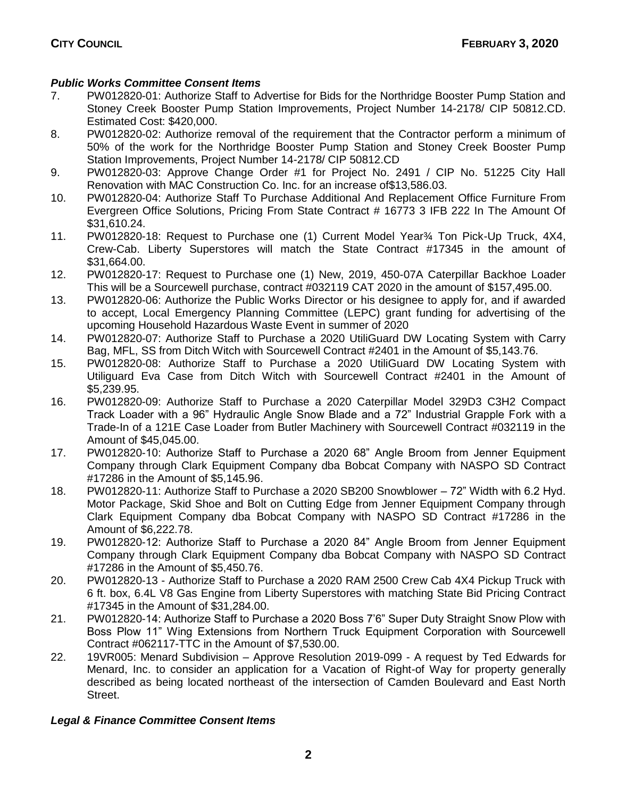## *Public Works Committee Consent Items*

- 7. PW012820-01: Authorize Staff to Advertise for Bids for the Northridge Booster Pump Station and Stoney Creek Booster Pump Station Improvements, Project Number 14-2178/ CIP 50812.CD. Estimated Cost: \$420,000.
- 8. PW012820-02: Authorize removal of the requirement that the Contractor perform a minimum of 50% of the work for the Northridge Booster Pump Station and Stoney Creek Booster Pump Station Improvements, Project Number 14-2178/ CIP 50812.CD
- 9. PW012820-03: Approve Change Order #1 for Project No. 2491 / CIP No. 51225 City Hall Renovation with MAC Construction Co. Inc. for an increase of\$13,586.03.
- 10. PW012820-04: Authorize Staff To Purchase Additional And Replacement Office Furniture From Evergreen Office Solutions, Pricing From State Contract # 16773 3 IFB 222 In The Amount Of \$31,610.24.
- 11. PW012820-18: Request to Purchase one (1) Current Model Year¾ Ton Pick-Up Truck, 4X4, Crew-Cab. Liberty Superstores will match the State Contract #17345 in the amount of \$31,664.00.
- 12. PW012820-17: Request to Purchase one (1) New, 2019, 450-07A Caterpillar Backhoe Loader This will be a Sourcewell purchase, contract #032119 CAT 2020 in the amount of \$157,495.00.
- 13. PW012820-06: Authorize the Public Works Director or his designee to apply for, and if awarded to accept, Local Emergency Planning Committee (LEPC) grant funding for advertising of the upcoming Household Hazardous Waste Event in summer of 2020
- 14. PW012820-07: Authorize Staff to Purchase a 2020 UtiliGuard DW Locating System with Carry Bag, MFL, SS from Ditch Witch with Sourcewell Contract #2401 in the Amount of \$5,143.76.
- 15. PW012820-08: Authorize Staff to Purchase a 2020 UtiliGuard DW Locating System with Utiliguard Eva Case from Ditch Witch with Sourcewell Contract #2401 in the Amount of \$5,239.95.
- 16. PW012820-09: Authorize Staff to Purchase a 2020 Caterpillar Model 329D3 C3H2 Compact Track Loader with a 96" Hydraulic Angle Snow Blade and a 72" Industrial Grapple Fork with a Trade-In of a 121E Case Loader from Butler Machinery with Sourcewell Contract #032119 in the Amount of \$45,045.00.
- 17. PW012820-10: Authorize Staff to Purchase a 2020 68" Angle Broom from Jenner Equipment Company through Clark Equipment Company dba Bobcat Company with NASPO SD Contract #17286 in the Amount of \$5,145.96.
- 18. PW012820-11: Authorize Staff to Purchase a 2020 SB200 Snowblower 72" Width with 6.2 Hyd. Motor Package, Skid Shoe and Bolt on Cutting Edge from Jenner Equipment Company through Clark Equipment Company dba Bobcat Company with NASPO SD Contract #17286 in the Amount of \$6,222.78.
- 19. PW012820-12: Authorize Staff to Purchase a 2020 84" Angle Broom from Jenner Equipment Company through Clark Equipment Company dba Bobcat Company with NASPO SD Contract #17286 in the Amount of \$5,450.76.
- 20. PW012820-13 Authorize Staff to Purchase a 2020 RAM 2500 Crew Cab 4X4 Pickup Truck with 6 ft. box, 6.4L V8 Gas Engine from Liberty Superstores with matching State Bid Pricing Contract #17345 in the Amount of \$31,284.00.
- 21. PW012820-14: Authorize Staff to Purchase a 2020 Boss 7'6" Super Duty Straight Snow Plow with Boss Plow 11" Wing Extensions from Northern Truck Equipment Corporation with Sourcewell Contract #062117-TTC in the Amount of \$7,530.00.
- 22. 19VR005: Menard Subdivision Approve Resolution 2019-099 A request by Ted Edwards for Menard, Inc. to consider an application for a Vacation of Right-of Way for property generally described as being located northeast of the intersection of Camden Boulevard and East North Street.

# *Legal & Finance Committee Consent Items*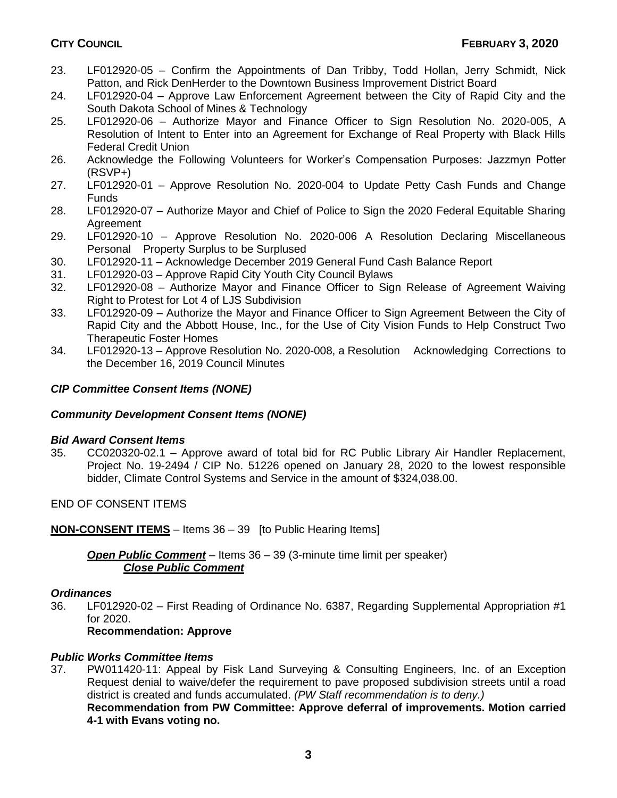- 23. LF012920-05 Confirm the Appointments of Dan Tribby, Todd Hollan, Jerry Schmidt, Nick Patton, and Rick DenHerder to the Downtown Business Improvement District Board
- 24. LF012920-04 Approve Law Enforcement Agreement between the City of Rapid City and the South Dakota School of Mines & Technology
- 25. LF012920-06 Authorize Mayor and Finance Officer to Sign Resolution No. 2020-005, A Resolution of Intent to Enter into an Agreement for Exchange of Real Property with Black Hills Federal Credit Union
- 26. Acknowledge the Following Volunteers for Worker's Compensation Purposes: Jazzmyn Potter (RSVP+)
- 27. LF012920-01 Approve Resolution No. 2020-004 to Update Petty Cash Funds and Change Funds
- 28. LF012920-07 Authorize Mayor and Chief of Police to Sign the 2020 Federal Equitable Sharing **Agreement**
- 29. LF012920-10 Approve Resolution No. 2020-006 A Resolution Declaring Miscellaneous Personal Property Surplus to be Surplused
- 30. LF012920-11 Acknowledge December 2019 General Fund Cash Balance Report
- 31. LF012920-03 Approve Rapid City Youth City Council Bylaws
- 32. LF012920-08 Authorize Mayor and Finance Officer to Sign Release of Agreement Waiving Right to Protest for Lot 4 of LJS Subdivision
- 33. LF012920-09 Authorize the Mayor and Finance Officer to Sign Agreement Between the City of Rapid City and the Abbott House, Inc., for the Use of City Vision Funds to Help Construct Two Therapeutic Foster Homes
- 34. LF012920-13 Approve Resolution No. 2020-008, a Resolution Acknowledging Corrections to the December 16, 2019 Council Minutes

## *CIP Committee Consent Items (NONE)*

## *Community Development Consent Items (NONE)*

## *Bid Award Consent Items*

35. CC020320-02.1 – Approve award of total bid for RC Public Library Air Handler Replacement, Project No. 19-2494 / CIP No. 51226 opened on January 28, 2020 to the lowest responsible bidder, Climate Control Systems and Service in the amount of \$324,038.00.

END OF CONSENT ITEMS

**NON-CONSENT ITEMS** – Items 36 – 39 [to Public Hearing Items]

*Open Public Comment* – Items 36 – 39 (3-minute time limit per speaker) *Close Public Comment*

## *Ordinances*

36. LF012920-02 – First Reading of Ordinance No. 6387, Regarding Supplemental Appropriation #1 for 2020.

## **Recommendation: Approve**

## *Public Works Committee Items*

37. PW011420-11: Appeal by Fisk Land Surveying & Consulting Engineers, Inc. of an Exception Request denial to waive/defer the requirement to pave proposed subdivision streets until a road district is created and funds accumulated. *(PW Staff recommendation is to deny.)* **Recommendation from PW Committee: Approve deferral of improvements. Motion carried**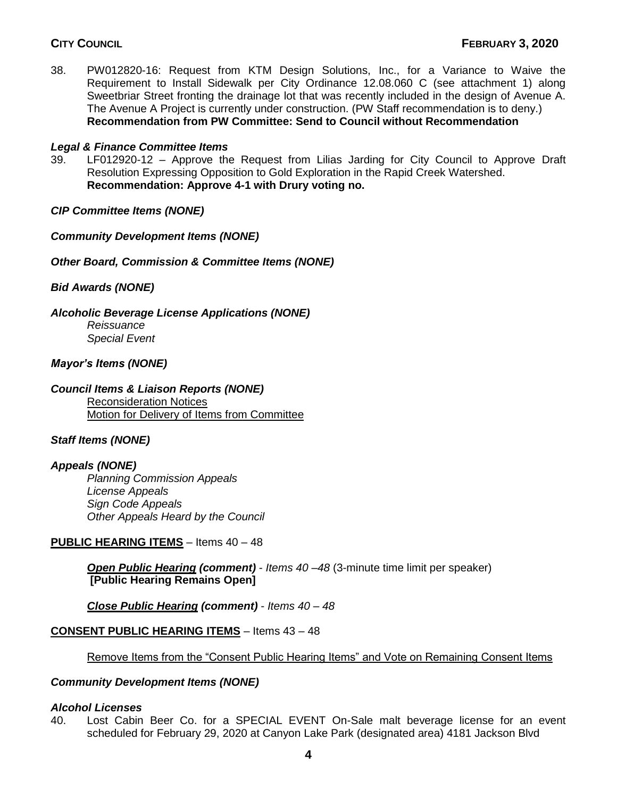38. PW012820-16: Request from KTM Design Solutions, Inc., for a Variance to Waive the Requirement to Install Sidewalk per City Ordinance 12.08.060 C (see attachment 1) along Sweetbriar Street fronting the drainage lot that was recently included in the design of Avenue A. The Avenue A Project is currently under construction. (PW Staff recommendation is to deny.) **Recommendation from PW Committee: Send to Council without Recommendation**

## *Legal & Finance Committee Items*

39. LF012920-12 – Approve the Request from Lilias Jarding for City Council to Approve Draft Resolution Expressing Opposition to Gold Exploration in the Rapid Creek Watershed. **Recommendation: Approve 4-1 with Drury voting no.** 

## *CIP Committee Items (NONE)*

## *Community Development Items (NONE)*

*Other Board, Commission & Committee Items (NONE)*

*Bid Awards (NONE)*

*Alcoholic Beverage License Applications (NONE)*

*Reissuance Special Event*

## *Mayor's Items (NONE)*

## *Council Items & Liaison Reports (NONE)*

Reconsideration Notices Motion for Delivery of Items from Committee

## *Staff Items (NONE)*

## *Appeals (NONE)*

*Planning Commission Appeals License Appeals Sign Code Appeals Other Appeals Heard by the Council*

## **PUBLIC HEARING ITEMS** – Items 40 – 48

*Open Public Hearing (comment)* - *Items 40 –48* (3-minute time limit per speaker) **[Public Hearing Remains Open]**

*Close Public Hearing (comment)* - *Items 40 – 48*

## **CONSENT PUBLIC HEARING ITEMS** – Items 43 – 48

Remove Items from the "Consent Public Hearing Items" and Vote on Remaining Consent Items

## *Community Development Items (NONE)*

#### *Alcohol Licenses*

40. Lost Cabin Beer Co. for a SPECIAL EVENT On-Sale malt beverage license for an event scheduled for February 29, 2020 at Canyon Lake Park (designated area) 4181 Jackson Blvd